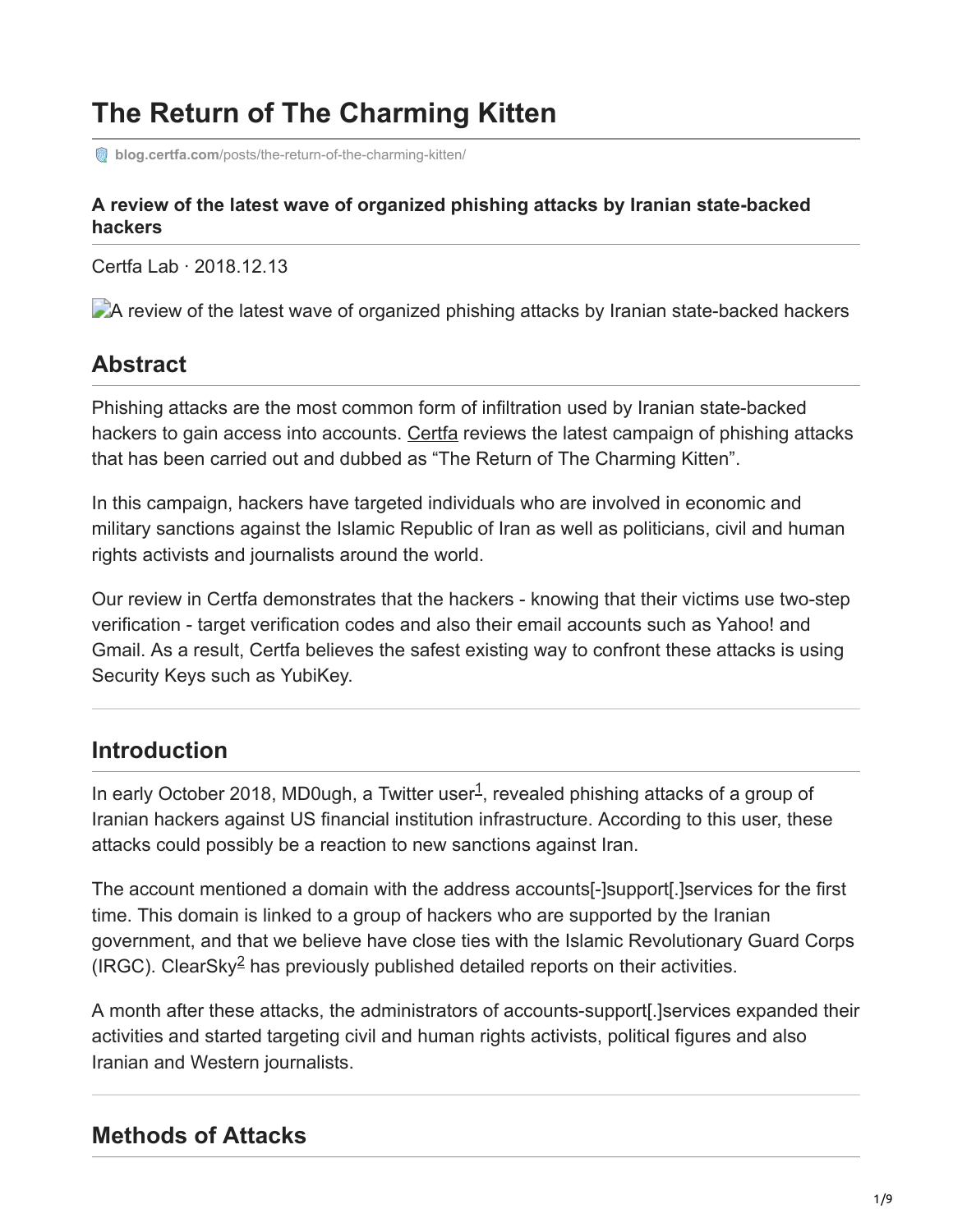# **The Return of The Charming Kitten**

**blog.certfa.com**[/posts/the-return-of-the-charming-kitten/](https://blog.certfa.com/posts/the-return-of-the-charming-kitten/)

#### **A review of the latest wave of organized phishing attacks by Iranian state-backed hackers**

Certfa Lab · 2018.12.13

A review of the latest wave of organized phishing attacks by Iranian state-backed hackers

#### **Abstract**

Phishing attacks are the most common form of infiltration used by Iranian state-backed hackers to gain access into accounts. [Certfa](https://certfa.com/) reviews the latest campaign of phishing attacks that has been carried out and dubbed as "The Return of The Charming Kitten".

In this campaign, hackers have targeted individuals who are involved in economic and military sanctions against the Islamic Republic of Iran as well as politicians, civil and human rights activists and journalists around the world.

Our review in Certfa demonstrates that the hackers - knowing that their victims use two-step verification - target verification codes and also their email accounts such as Yahoo! and Gmail. As a result, Certfa believes the safest existing way to confront these attacks is using Security Keys such as YubiKey.

#### **Introduction**

In early October 2018, MD0ugh, a Twitter user<sup>1</sup>, revealed phishing attacks of a group of Iranian hackers against US financial institution infrastructure. According to this user, these attacks could possibly be a reaction to new sanctions against Iran.

The account mentioned a domain with the address accounts[-]support[.]services for the first time. This domain is linked to a group of hackers who are supported by the Iranian government, and that we believe have close ties with the Islamic Revolutionary Guard Corps (IRGC). ClearSky<sup>2</sup> has previously published detailed reports on their activities.

A month after these attacks, the administrators of accounts-support[.]services expanded their activities and started targeting civil and human rights activists, political figures and also Iranian and Western journalists.

#### **Methods of Attacks**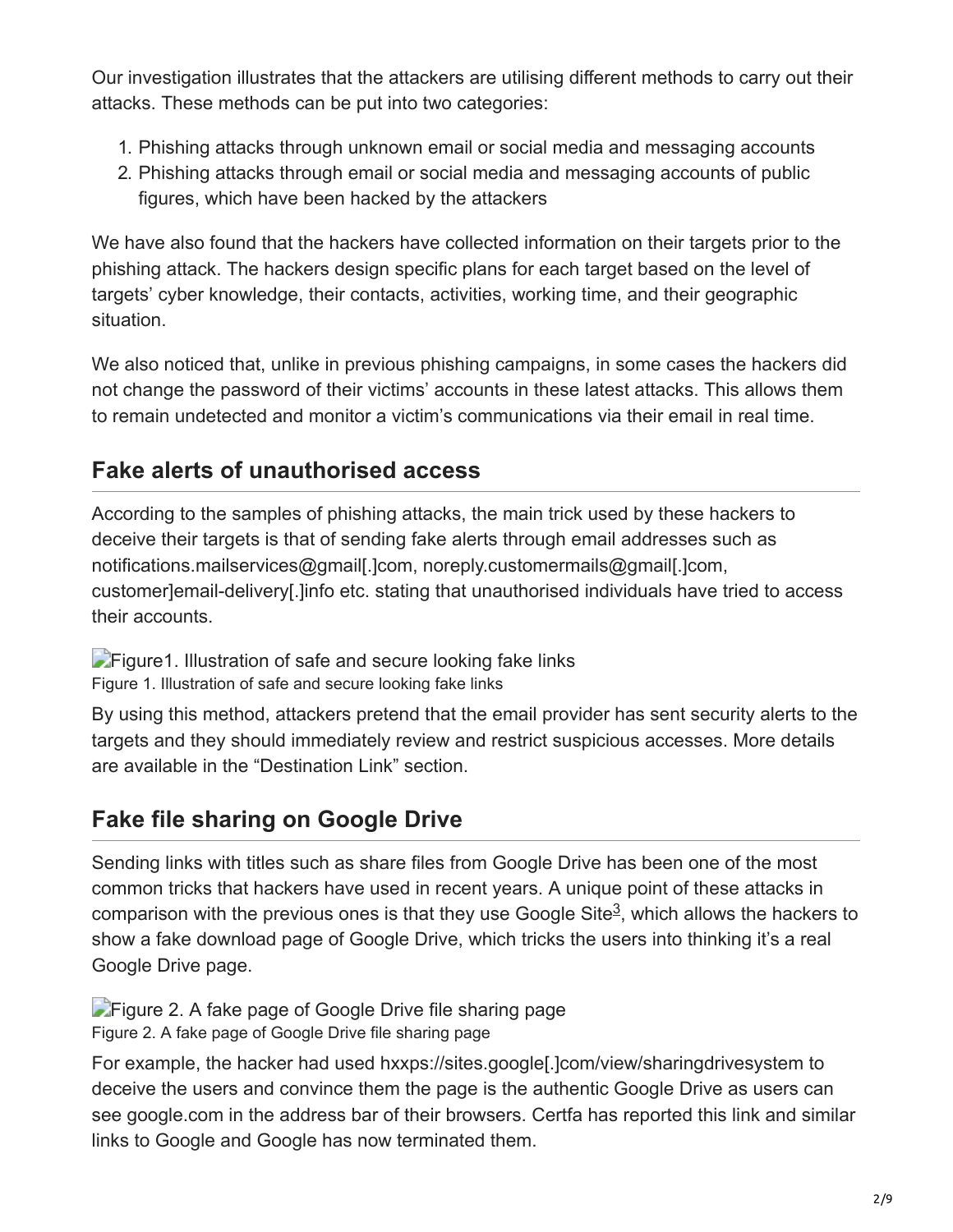Our investigation illustrates that the attackers are utilising different methods to carry out their attacks. These methods can be put into two categories:

- 1. Phishing attacks through unknown email or social media and messaging accounts
- 2. Phishing attacks through email or social media and messaging accounts of public figures, which have been hacked by the attackers

We have also found that the hackers have collected information on their targets prior to the phishing attack. The hackers design specific plans for each target based on the level of targets' cyber knowledge, their contacts, activities, working time, and their geographic situation.

We also noticed that, unlike in previous phishing campaigns, in some cases the hackers did not change the password of their victims' accounts in these latest attacks. This allows them to remain undetected and monitor a victim's communications via their email in real time.

# **Fake alerts of unauthorised access**

According to the samples of phishing attacks, the main trick used by these hackers to deceive their targets is that of sending fake alerts through email addresses such as notifications.mailservices@gmail[.]com, noreply.customermails@gmail[.]com, customer]email-delivery[.]info etc. stating that unauthorised individuals have tried to access their accounts.

**Figure1. Illustration of safe and secure looking fake links** Figure 1. Illustration of safe and secure looking fake links

By using this method, attackers pretend that the email provider has sent security alerts to the targets and they should immediately review and restrict suspicious accesses. More details are available in the "Destination Link" section.

# **Fake file sharing on Google Drive**

Sending links with titles such as share files from Google Drive has been one of the most common tricks that hackers have used in recent years. A unique point of these attacks in comparison with the previous ones is that they use Google Site $3$ , which allows the hackers to show a fake download page of Google Drive, which tricks the users into thinking it's a real Google Drive page.

**Figure 2.** A fake page of Google Drive file sharing page Figure 2. A fake page of Google Drive file sharing page

For example, the hacker had used hxxps://sites.google[.]com/view/sharingdrivesystem to deceive the users and convince them the page is the authentic Google Drive as users can see google.com in the address bar of their browsers. Certfa has reported this link and similar links to Google and Google has now terminated them.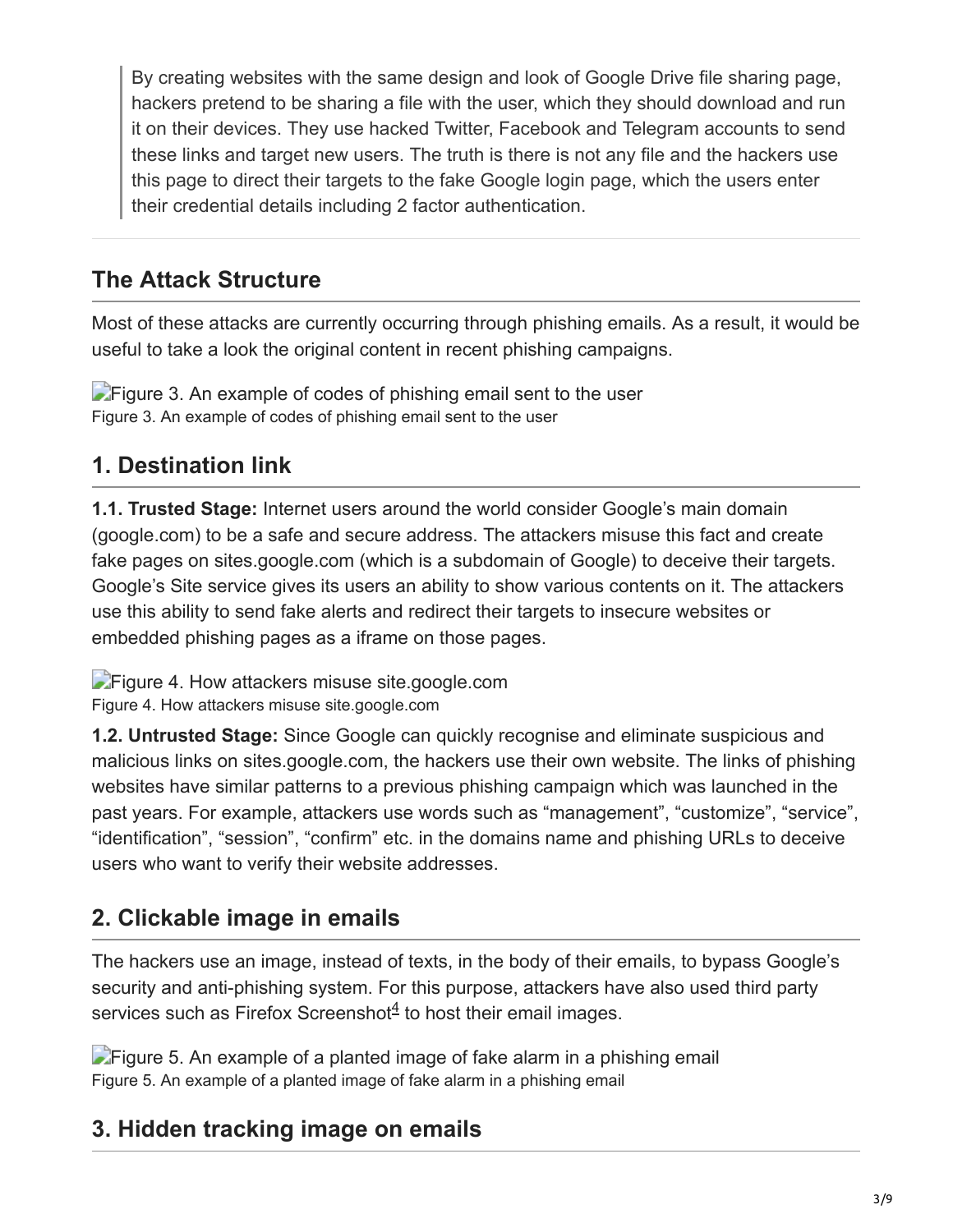By creating websites with the same design and look of Google Drive file sharing page, hackers pretend to be sharing a file with the user, which they should download and run it on their devices. They use hacked Twitter, Facebook and Telegram accounts to send these links and target new users. The truth is there is not any file and the hackers use this page to direct their targets to the fake Google login page, which the users enter their credential details including 2 factor authentication.

### **The Attack Structure**

Most of these attacks are currently occurring through phishing emails. As a result, it would be useful to take a look the original content in recent phishing campaigns.

**Figure 3. An example of codes of phishing email sent to the user** Figure 3. An example of codes of phishing email sent to the user

### **1. Destination link**

**1.1. Trusted Stage:** Internet users around the world consider Google's main domain (google.com) to be a safe and secure address. The attackers misuse this fact and create fake pages on sites.google.com (which is a subdomain of Google) to deceive their targets. Google's Site service gives its users an ability to show various contents on it. The attackers use this ability to send fake alerts and redirect their targets to insecure websites or embedded phishing pages as a iframe on those pages.

**Figure 4. How attackers misuse site google.com** Figure 4. How attackers misuse site.google.com

**1.2. Untrusted Stage:** Since Google can quickly recognise and eliminate suspicious and malicious links on sites.google.com, the hackers use their own website. The links of phishing websites have similar patterns to a previous phishing campaign which was launched in the past years. For example, attackers use words such as "management", "customize", "service", "identification", "session", "confirm" etc. in the domains name and phishing URLs to deceive users who want to verify their website addresses.

# **2. Clickable image in emails**

The hackers use an image, instead of texts, in the body of their emails, to bypass Google's security and anti-phishing system. For this purpose, attackers have also used third party services such as Firefox Screenshot<sup>4</sup> to host their email images.

**Figure 5.** An example of a planted image of fake alarm in a phishing email Figure 5. An example of a planted image of fake alarm in a phishing email

#### **3. Hidden tracking image on emails**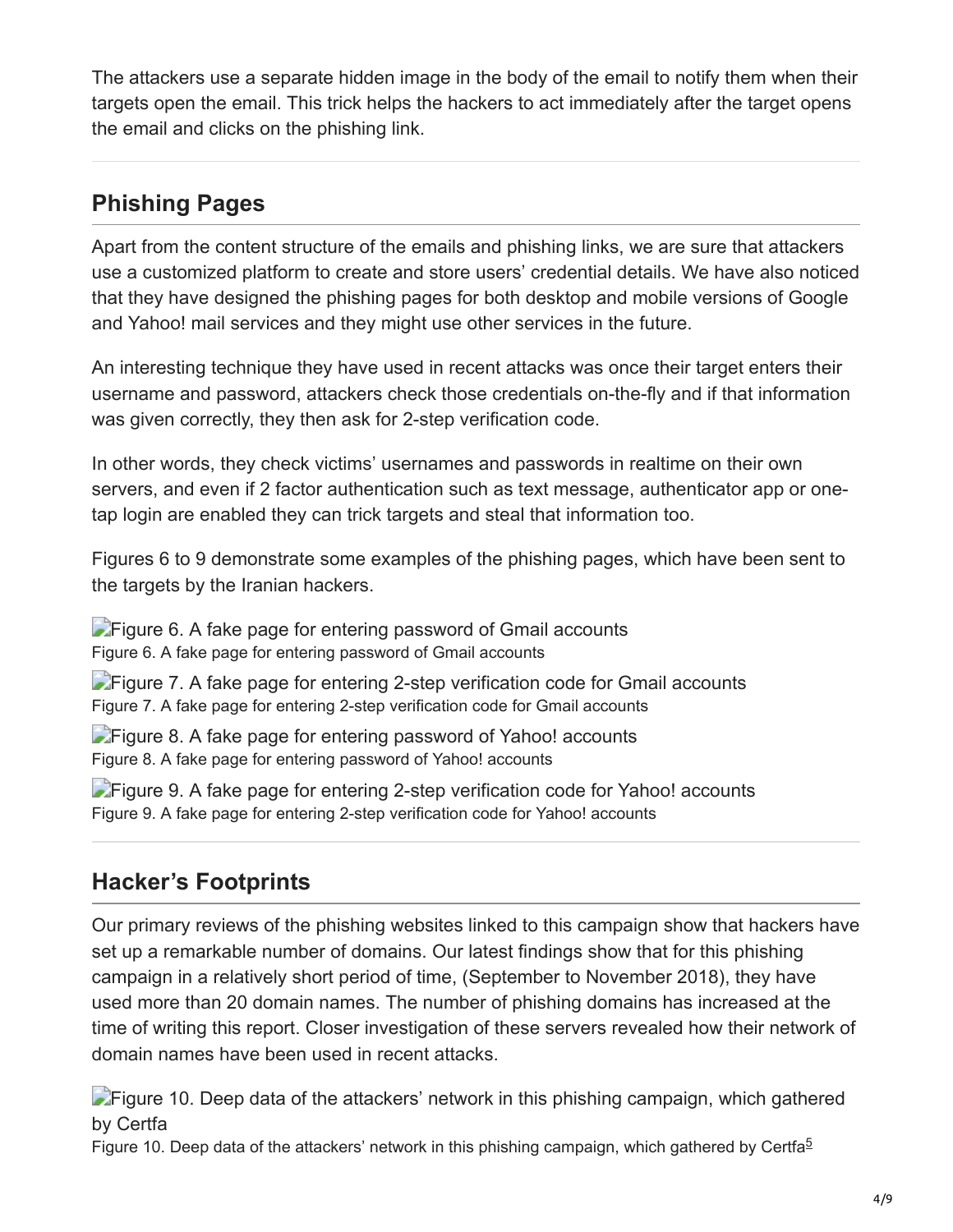The attackers use a separate hidden image in the body of the email to notify them when their targets open the email. This trick helps the hackers to act immediately after the target opens the email and clicks on the phishing link.

#### **Phishing Pages**

Apart from the content structure of the emails and phishing links, we are sure that attackers use a customized platform to create and store users' credential details. We have also noticed that they have designed the phishing pages for both desktop and mobile versions of Google and Yahoo! mail services and they might use other services in the future.

An interesting technique they have used in recent attacks was once their target enters their username and password, attackers check those credentials on-the-fly and if that information was given correctly, they then ask for 2-step verification code.

In other words, they check victims' usernames and passwords in realtime on their own servers, and even if 2 factor authentication such as text message, authenticator app or onetap login are enabled they can trick targets and steal that information too.

Figures 6 to 9 demonstrate some examples of the phishing pages, which have been sent to the targets by the Iranian hackers.

**Figure 6. A fake page for entering password of Gmail accounts** Figure 6. A fake page for entering password of Gmail accounts

**Figure 7.** A fake page for entering 2-step verification code for Gmail accounts Figure 7. A fake page for entering 2-step verification code for Gmail accounts

**Figure 8.** A fake page for entering password of Yahoo! accounts Figure 8. A fake page for entering password of Yahoo! accounts

**Figure 9.** A fake page for entering 2-step verification code for Yahoo! accounts Figure 9. A fake page for entering 2-step verification code for Yahoo! accounts

#### **Hacker's Footprints**

Our primary reviews of the phishing websites linked to this campaign show that hackers have set up a remarkable number of domains. Our latest findings show that for this phishing campaign in a relatively short period of time, (September to November 2018), they have used more than 20 domain names. The number of phishing domains has increased at the time of writing this report. Closer investigation of these servers revealed how their network of domain names have been used in recent attacks.

**Figure 10. Deep data of the attackers' network in this phishing campaign, which gathered** by Certfa

Figure 10. Deep data of the attackers' network in this phishing campaign, which gathered by Certfa<sup>5</sup>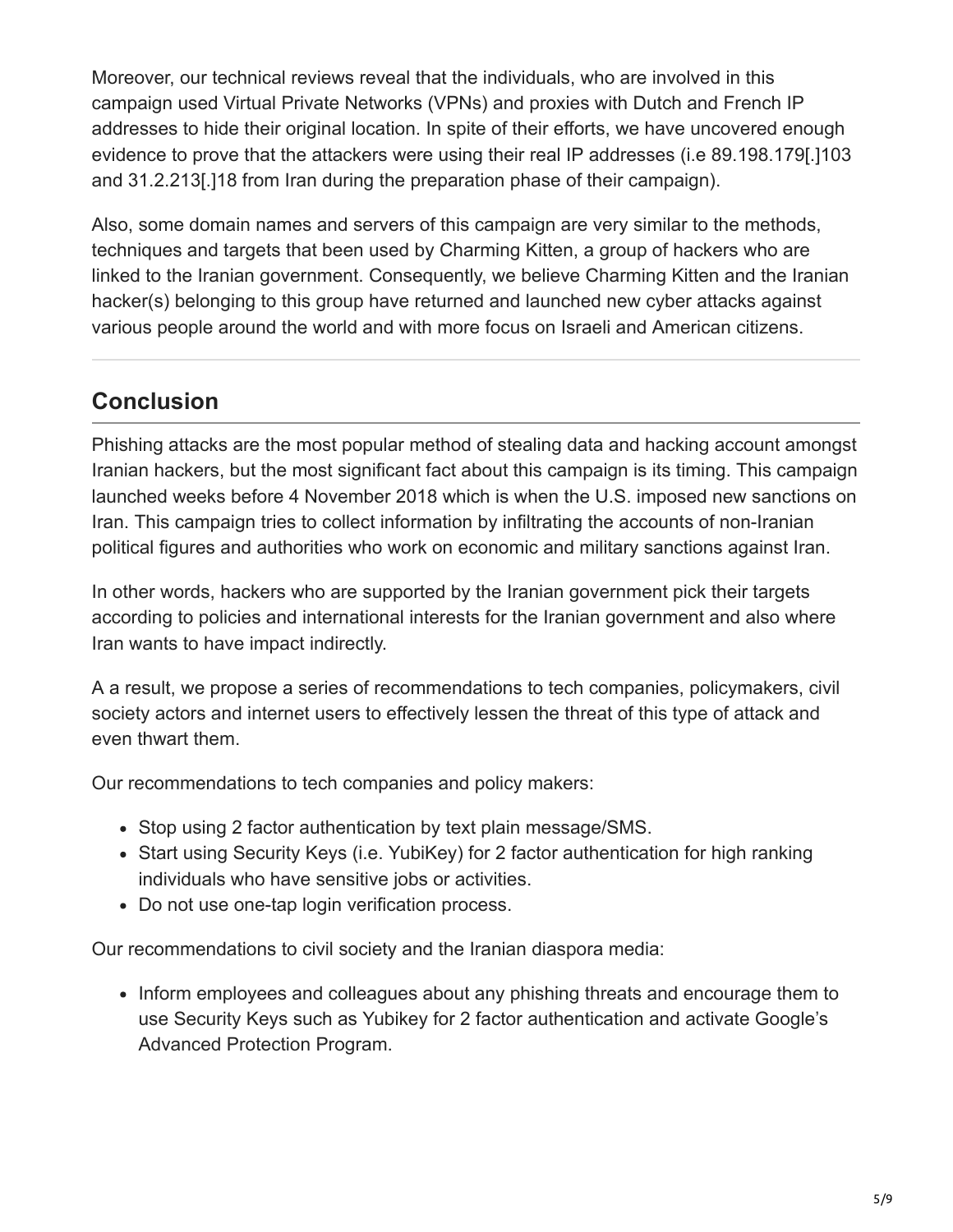Moreover, our technical reviews reveal that the individuals, who are involved in this campaign used Virtual Private Networks (VPNs) and proxies with Dutch and French IP addresses to hide their original location. In spite of their efforts, we have uncovered enough evidence to prove that the attackers were using their real IP addresses (i.e 89.198.179[.]103 and 31.2.213[.]18 from Iran during the preparation phase of their campaign).

Also, some domain names and servers of this campaign are very similar to the methods, techniques and targets that been used by Charming Kitten, a group of hackers who are linked to the Iranian government. Consequently, we believe Charming Kitten and the Iranian hacker(s) belonging to this group have returned and launched new cyber attacks against various people around the world and with more focus on Israeli and American citizens.

#### **Conclusion**

Phishing attacks are the most popular method of stealing data and hacking account amongst Iranian hackers, but the most significant fact about this campaign is its timing. This campaign launched weeks before 4 November 2018 which is when the U.S. imposed new sanctions on Iran. This campaign tries to collect information by infiltrating the accounts of non-Iranian political figures and authorities who work on economic and military sanctions against Iran.

In other words, hackers who are supported by the Iranian government pick their targets according to policies and international interests for the Iranian government and also where Iran wants to have impact indirectly.

A a result, we propose a series of recommendations to tech companies, policymakers, civil society actors and internet users to effectively lessen the threat of this type of attack and even thwart them.

Our recommendations to tech companies and policy makers:

- Stop using 2 factor authentication by text plain message/SMS.
- Start using Security Keys (i.e. YubiKey) for 2 factor authentication for high ranking individuals who have sensitive jobs or activities.
- Do not use one-tap login verification process.

Our recommendations to civil society and the Iranian diaspora media:

• Inform employees and colleagues about any phishing threats and encourage them to use Security Keys such as Yubikey for 2 factor authentication and activate Google's Advanced Protection Program.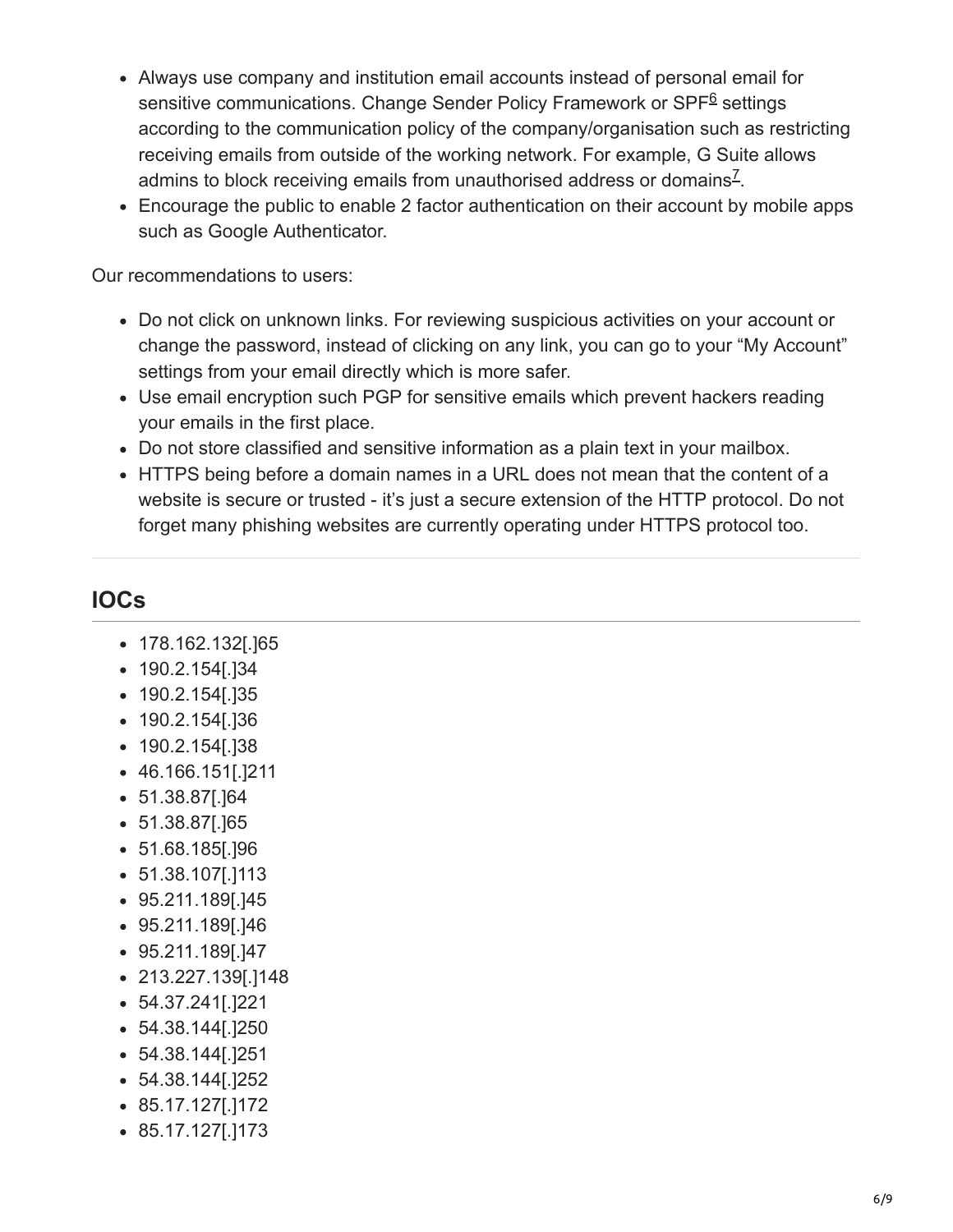- Always use company and institution email accounts instead of personal email for sensitive communications. Change Sender Policy Framework or SPF<sup>6</sup> settings according to the communication policy of the company/organisation such as restricting receiving emails from outside of the working network. For example, G Suite allows admins to block receiving emails from unauthorised address or domains $^{\mathsf{Z}}$ .
- Encourage the public to enable 2 factor authentication on their account by mobile apps such as Google Authenticator.

Our recommendations to users:

- Do not click on unknown links. For reviewing suspicious activities on your account or change the password, instead of clicking on any link, you can go to your "My Account" settings from your email directly which is more safer.
- Use email encryption such PGP for sensitive emails which prevent hackers reading your emails in the first place.
- Do not store classified and sensitive information as a plain text in your mailbox.
- HTTPS being before a domain names in a URL does not mean that the content of a website is secure or trusted - it's just a secure extension of the HTTP protocol. Do not forget many phishing websites are currently operating under HTTPS protocol too.

### **IOCs**

- 178.162.132[.]65
- 190.2.154[.]34
- 190.2.154[.]35
- 190.2.154[.]36
- 190.2.154[.]38
- 46.166.151[.]211
- 51.38.87[.]64
- 51.38.87[.]65
- 51.68.185[.]96
- 51.38.107[.]113
- 95.211.189[.]45
- 95.211.189[.]46
- 95.211.189[.]47
- 213.227.139[.]148
- 54.37.241[.]221
- 54.38.144[.]250
- 54.38.144[.]251
- 54.38.144[.]252
- 85.17.127[.]172
- 85.17.127[.]173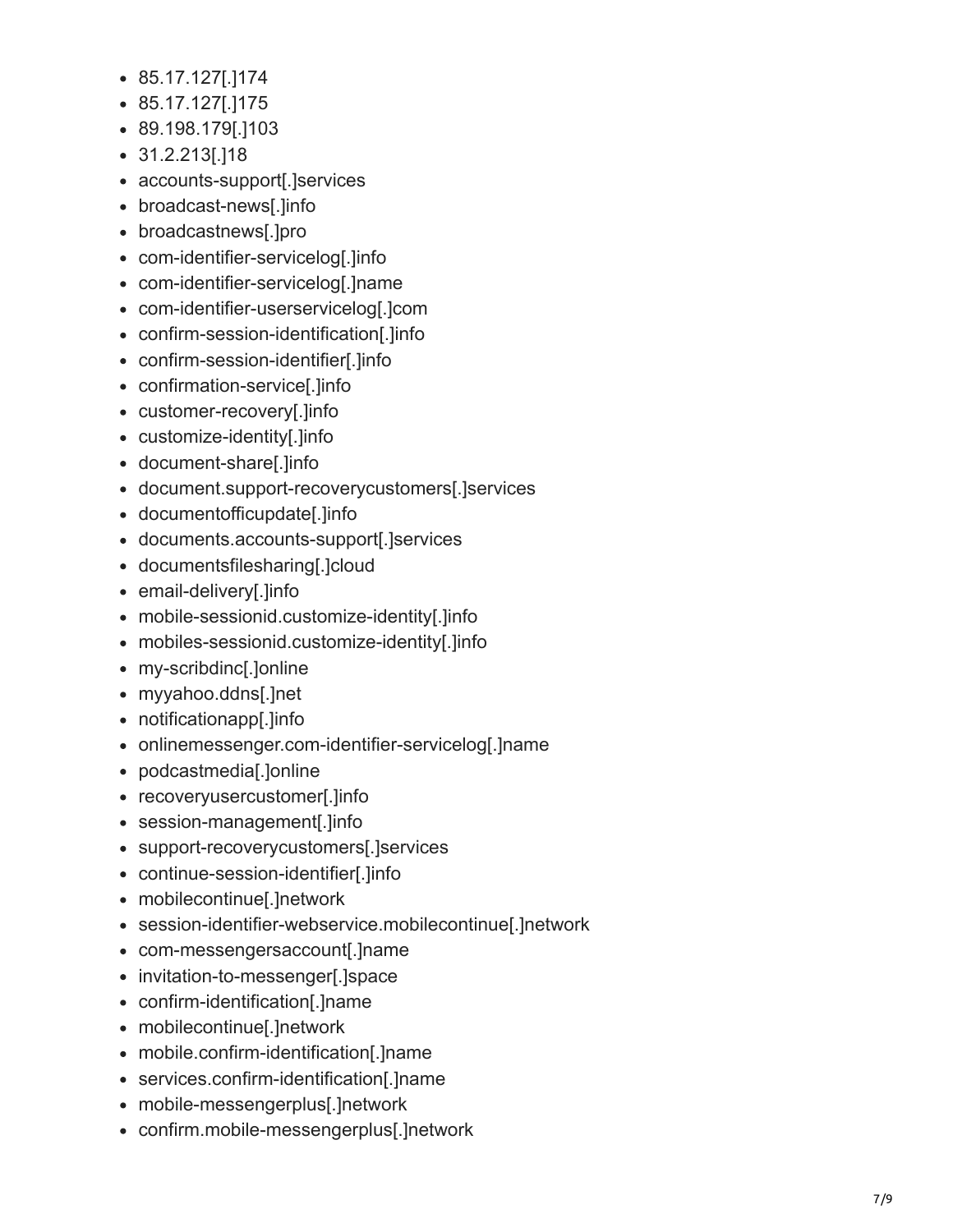- 85.17.127[.]174
- 85.17.127[.]175
- 89.198.179[.]103
- 31.2.213[.]18
- accounts-support[.]services
- broadcast-news[.]info
- broadcastnews[.]pro
- com-identifier-servicelog[.]info
- com-identifier-servicelog[.]name
- com-identifier-userservicelog[.]com
- confirm-session-identification[.]info
- confirm-session-identifier[.]info
- confirmation-service[.]info
- customer-recovery[.]info
- customize-identity[.]info
- document-share[.]info
- document.support-recoverycustomers[.]services
- documentofficupdate[.]info
- documents.accounts-support[.]services
- documentsfilesharing[.]cloud
- email-delivery[.]info
- mobile-sessionid.customize-identity[.]info
- mobiles-sessionid.customize-identity[.]info
- my-scribdinc[.]online
- myyahoo.ddns[.]net
- notificationapp[.]info
- onlinemessenger.com-identifier-servicelog[.]name
- podcastmedia[.]online
- recoveryusercustomer[.]info
- session-management[.]info
- support-recoverycustomers[.]services
- continue-session-identifier[.]info
- mobilecontinue[.]network
- session-identifier-webservice.mobilecontinue[.]network
- com-messengersaccount[.]name
- invitation-to-messenger[.]space
- confirm-identification[.]name
- mobilecontinue[.]network
- mobile.confirm-identification[.]name
- services.confirm-identification[.]name
- mobile-messengerplus[.]network
- confirm.mobile-messengerplus[.]network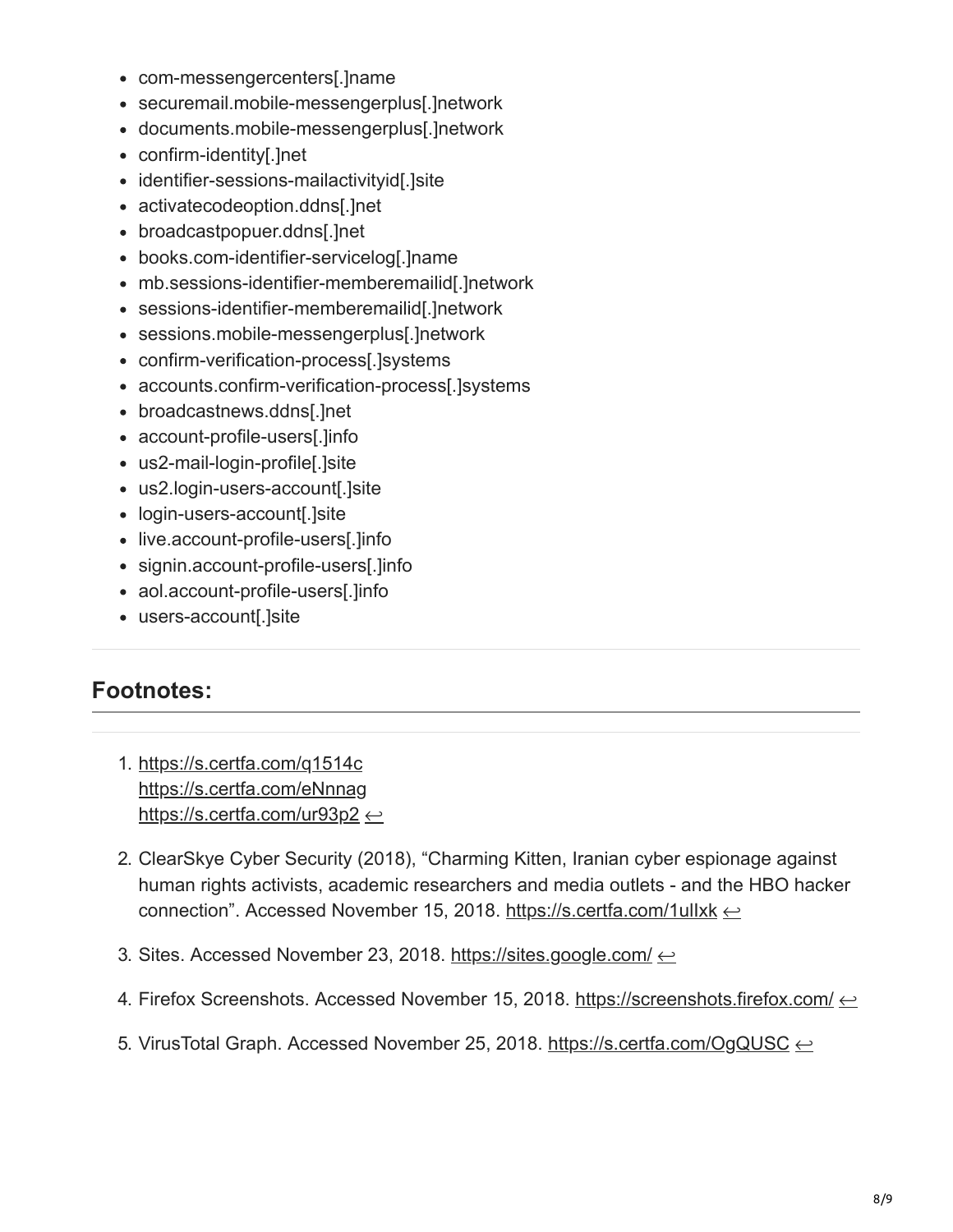- com-messengercenters[.]name
- securemail.mobile-messengerplus[.]network
- documents.mobile-messengerplus[.]network
- confirm-identity[.]net
- identifier-sessions-mailactivityid[.]site
- activatecodeoption.ddns[.]net
- broadcastpopuer.ddns[.]net
- books.com-identifier-servicelog[.]name
- mb.sessions-identifier-memberemailid[.]network
- sessions-identifier-memberemailid[.]network
- sessions.mobile-messengerplus[.]network
- confirm-verification-process[.]systems
- accounts.confirm-verification-process[.]systems
- broadcastnews.ddns[.]net
- account-profile-users[.]info
- us2-mail-login-profile[.]site
- us2.login-users-account[.]site
- login-users-account[.]site
- live.account-profile-users[.]info
- signin.account-profile-users[.]info
- aol.account-profile-users[.]info
- users-account[.]site

#### **Footnotes:**

- 1. <https://s.certfa.com/q1514c> <https://s.certfa.com/eNnnag> <https://s.certfa.com/ur93p2>  $\leftrightarrow$
- 2. ClearSkye Cyber Security (2018), "Charming Kitten, Iranian cyber espionage against human rights activists, academic researchers and media outlets - and the HBO hacker connection". Accessed November 15, 2018. https://s.certfa.com/1ullxk  $\leftrightarrow$
- 3. Sites. Accessed November 23, 2018. <https://sites.google.com/>  $\leftarrow$
- 4. Firefox Screenshots. Accessed November 15, 2018. <https://screenshots.firefox.com/> $\leftarrow$
- 5. VirusTotal Graph. Accessed November 25, 2018.<https://s.certfa.com/OgQUSC> ←